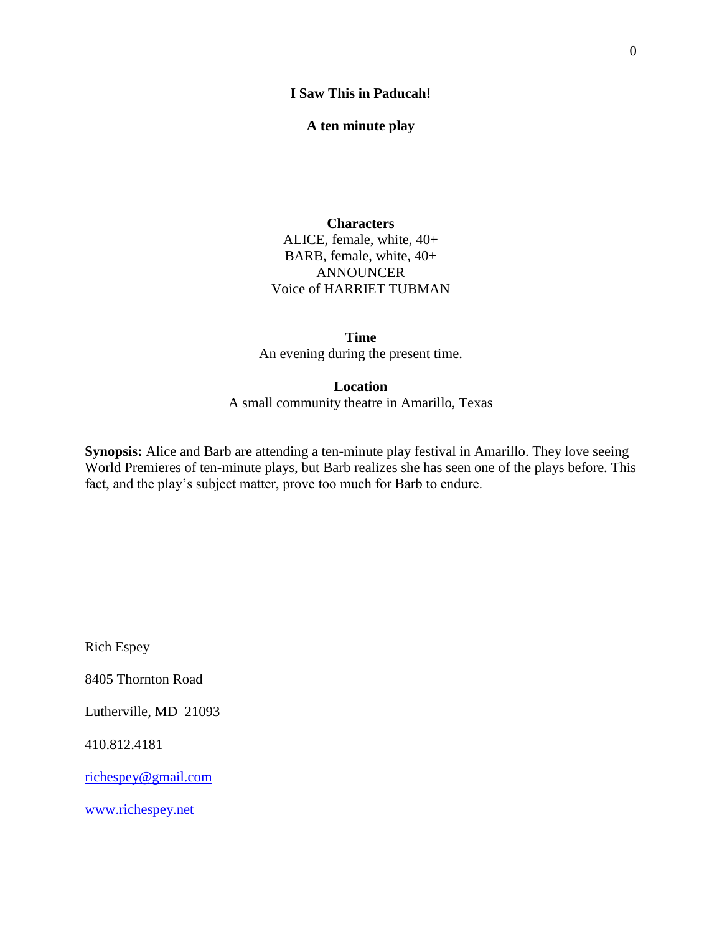#### **I Saw This in Paducah!**

**A ten minute play**

#### **Characters**

ALICE, female, white, 40+ BARB, female, white, 40+ ANNOUNCER Voice of HARRIET TUBMAN

**Time** An evening during the present time.

**Location**

A small community theatre in Amarillo, Texas

**Synopsis:** Alice and Barb are attending a ten-minute play festival in Amarillo. They love seeing World Premieres of ten-minute plays, but Barb realizes she has seen one of the plays before. This fact, and the play's subject matter, prove too much for Barb to endure.

Rich Espey

8405 Thornton Road

Lutherville, MD 21093

410.812.4181

[richespey@gmail.com](mailto:richespey@gmail.com)

[www.richespey.net](http://www.richespey.net/)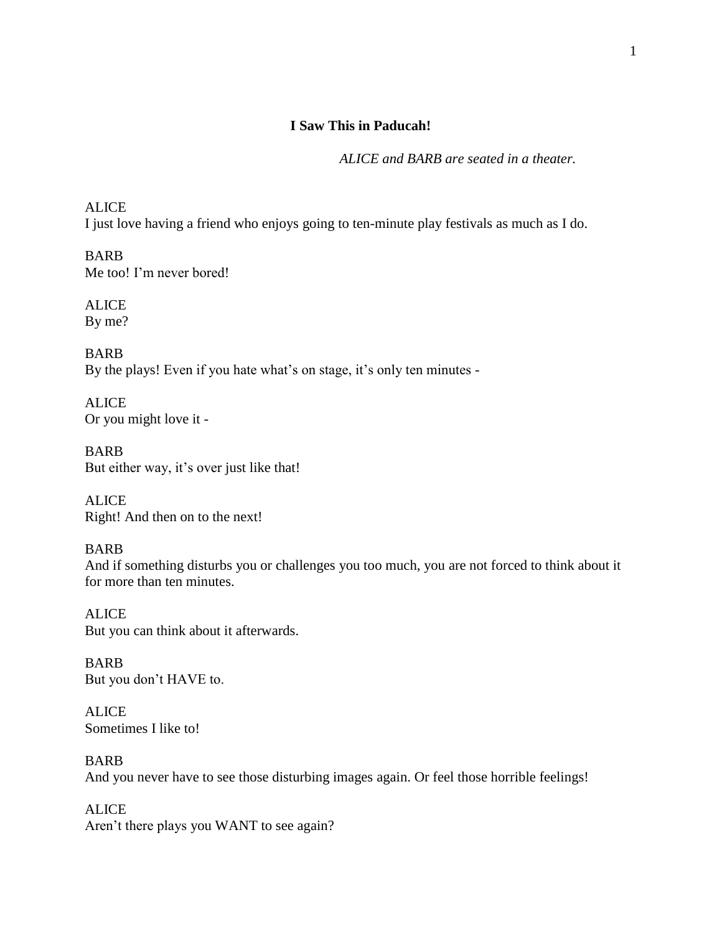### **I Saw This in Paducah!**

*ALICE and BARB are seated in a theater.*

ALICE I just love having a friend who enjoys going to ten-minute play festivals as much as I do.

BARB Me too! I'm never bored!

ALICE By me?

BARB By the plays! Even if you hate what's on stage, it's only ten minutes -

ALICE Or you might love it -

BARB But either way, it's over just like that!

**ALICE** Right! And then on to the next!

## BARB

And if something disturbs you or challenges you too much, you are not forced to think about it for more than ten minutes.

ALICE But you can think about it afterwards.

BARB But you don't HAVE to.

**ALICE** Sometimes I like to!

BARB And you never have to see those disturbing images again. Or feel those horrible feelings!

ALICE Aren't there plays you WANT to see again?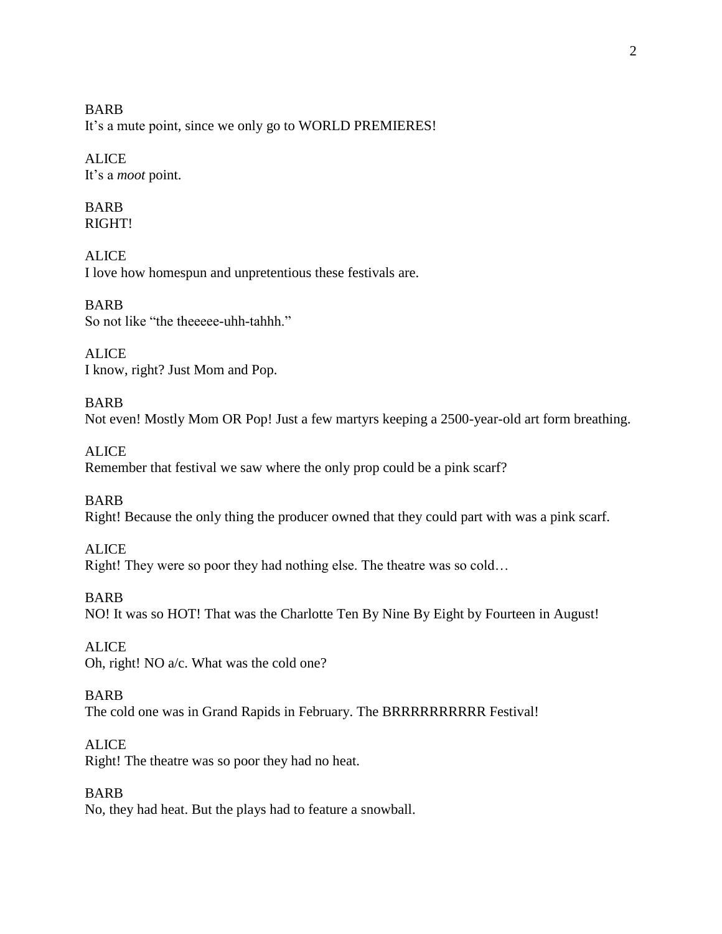BARB It's a mute point, since we only go to WORLD PREMIERES!

# **ALICE** It's a *moot* point.

## BARB RIGHT!

**ALICE** I love how homespun and unpretentious these festivals are.

BARB So not like "the theeeee-uhh-tahhh."

**ALICE** I know, right? Just Mom and Pop.

# BARB Not even! Mostly Mom OR Pop! Just a few martyrs keeping a 2500-year-old art form breathing.

ALICE Remember that festival we saw where the only prop could be a pink scarf?

BARB Right! Because the only thing the producer owned that they could part with was a pink scarf.

# **ALICE** Right! They were so poor they had nothing else. The theatre was so cold…

BARB NO! It was so HOT! That was the Charlotte Ten By Nine By Eight by Fourteen in August!

ALICE Oh, right! NO a/c. What was the cold one?

# BARB

The cold one was in Grand Rapids in February. The BRRRRRRRRRR Festival!

# **ALICE**

Right! The theatre was so poor they had no heat.

# BARB

No, they had heat. But the plays had to feature a snowball.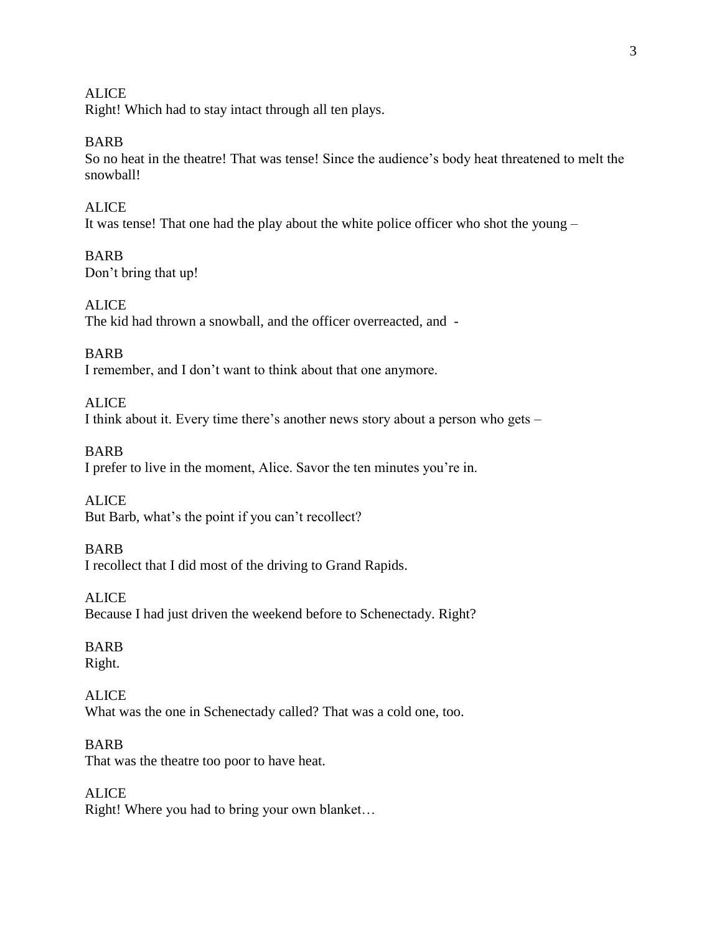**ALICE** Right! Which had to stay intact through all ten plays.

BARB

So no heat in the theatre! That was tense! Since the audience's body heat threatened to melt the snowball!

ALICE It was tense! That one had the play about the white police officer who shot the young –

BARB Don't bring that up!

ALICE The kid had thrown a snowball, and the officer overreacted, and -

BARB I remember, and I don't want to think about that one anymore.

ALICE I think about it. Every time there's another news story about a person who gets –

BARB I prefer to live in the moment, Alice. Savor the ten minutes you're in.

**ALICE** But Barb, what's the point if you can't recollect?

BARB I recollect that I did most of the driving to Grand Rapids.

ALICE Because I had just driven the weekend before to Schenectady. Right?

BARB Right.

ALICE What was the one in Schenectady called? That was a cold one, too.

BARB That was the theatre too poor to have heat.

ALICE Right! Where you had to bring your own blanket…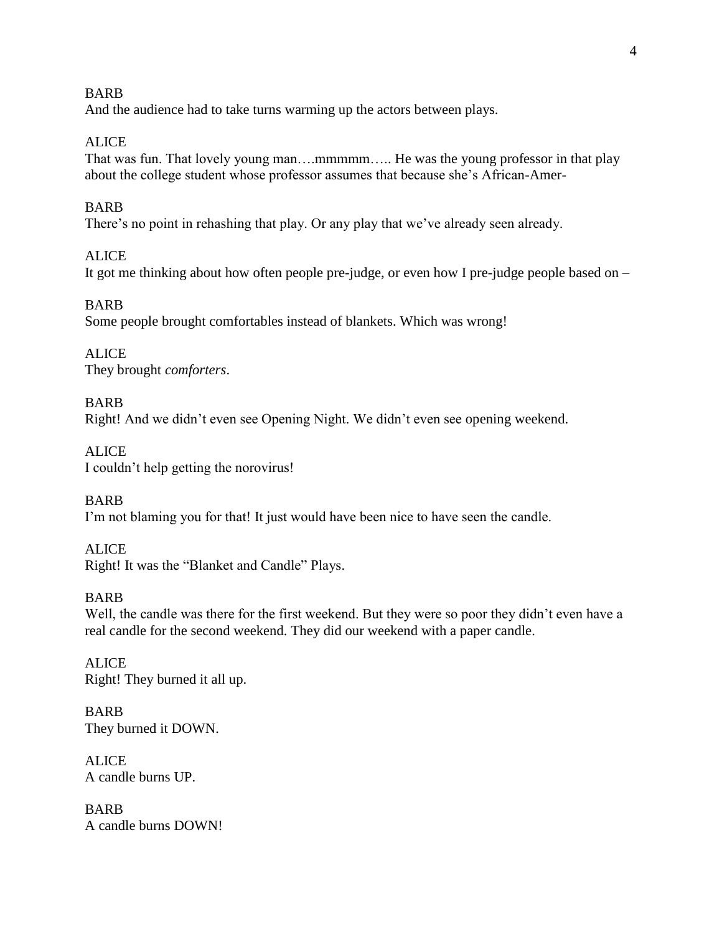#### BARB

And the audience had to take turns warming up the actors between plays.

### ALICE

That was fun. That lovely young man….mmmmm….. He was the young professor in that play about the college student whose professor assumes that because she's African-Amer-

### BARB

There's no point in rehashing that play. Or any play that we've already seen already.

### **ALICE**

It got me thinking about how often people pre-judge, or even how I pre-judge people based on –

### BARB

Some people brought comfortables instead of blankets. Which was wrong!

ALICE They brought *comforters*.

### BARB

Right! And we didn't even see Opening Night. We didn't even see opening weekend.

ALICE I couldn't help getting the norovirus!

BARB I'm not blaming you for that! It just would have been nice to have seen the candle.

## **ALICE**

Right! It was the "Blanket and Candle" Plays.

### BARB

Well, the candle was there for the first weekend. But they were so poor they didn't even have a real candle for the second weekend. They did our weekend with a paper candle.

ALICE Right! They burned it all up.

BARB They burned it DOWN.

**ALICE** A candle burns UP.

BARB A candle burns DOWN!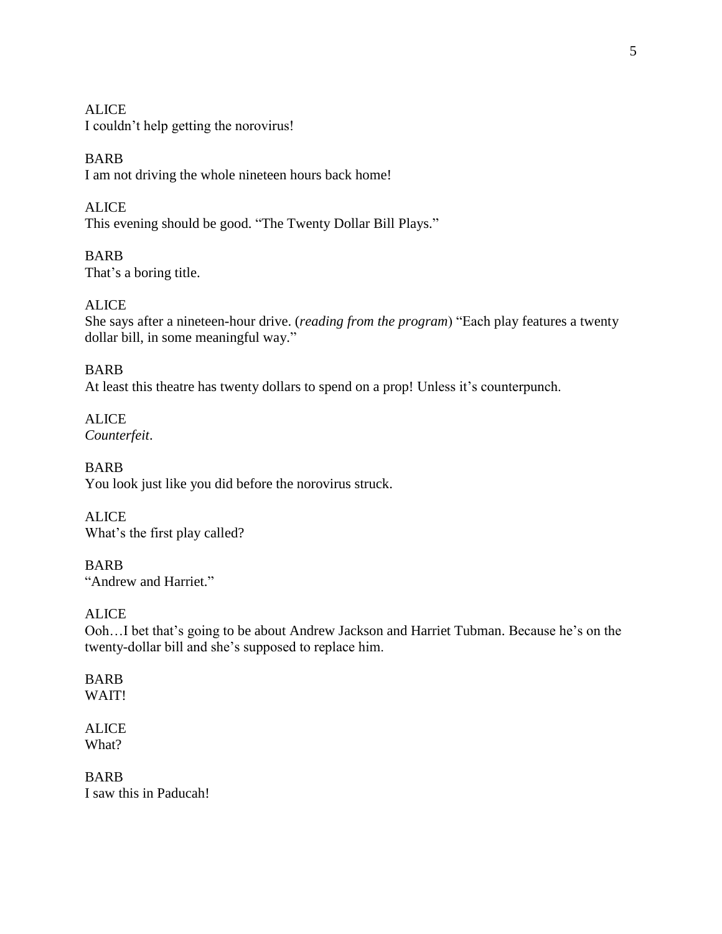**ALICE** I couldn't help getting the norovirus!

BARB I am not driving the whole nineteen hours back home!

ALICE This evening should be good. "The Twenty Dollar Bill Plays."

BARB That's a boring title.

# ALICE

She says after a nineteen-hour drive. (*reading from the program*) "Each play features a twenty dollar bill, in some meaningful way."

# BARB

At least this theatre has twenty dollars to spend on a prop! Unless it's counterpunch.

ALICE *Counterfeit*.

BARB You look just like you did before the norovirus struck.

ALICE What's the first play called?

BARB "Andrew and Harriet."

ALICE

Ooh…I bet that's going to be about Andrew Jackson and Harriet Tubman. Because he's on the twenty-dollar bill and she's supposed to replace him.

### BARB WAIT!

ALICE What?

BARB I saw this in Paducah!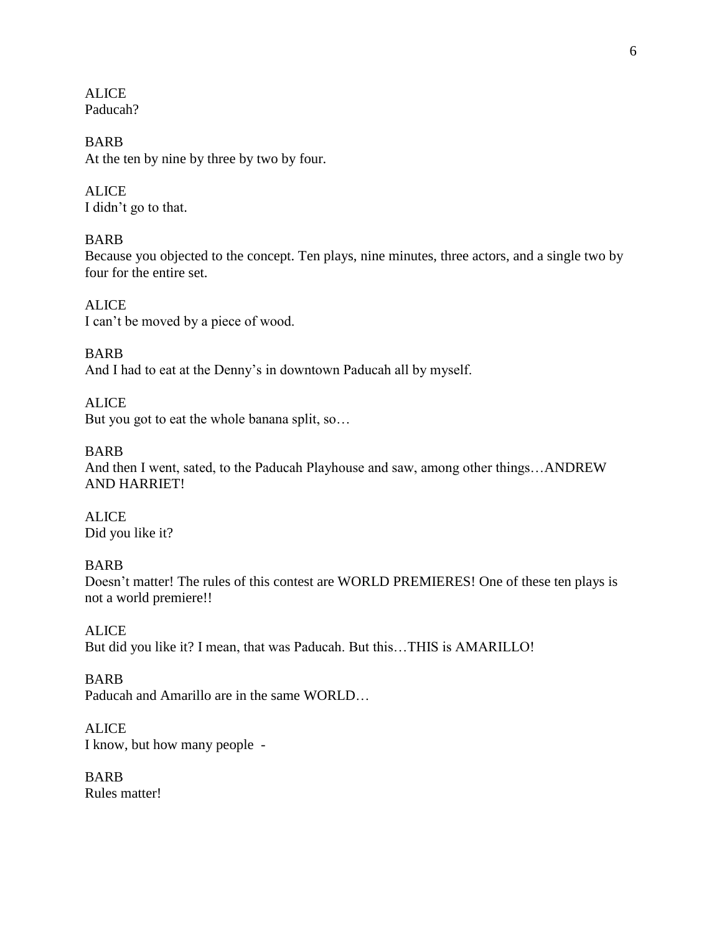**ALICE** Paducah?

BARB At the ten by nine by three by two by four.

ALICE I didn't go to that.

### BARB

Because you objected to the concept. Ten plays, nine minutes, three actors, and a single two by four for the entire set.

ALICE I can't be moved by a piece of wood.

BARB And I had to eat at the Denny's in downtown Paducah all by myself.

ALICE But you got to eat the whole banana split, so…

BARB

And then I went, sated, to the Paducah Playhouse and saw, among other things…ANDREW AND HARRIET!

ALICE Did you like it?

BARB

Doesn't matter! The rules of this contest are WORLD PREMIERES! One of these ten plays is not a world premiere!!

ALICE But did you like it? I mean, that was Paducah. But this…THIS is AMARILLO!

BARB

Paducah and Amarillo are in the same WORLD…

ALICE I know, but how many people -

BARB Rules matter!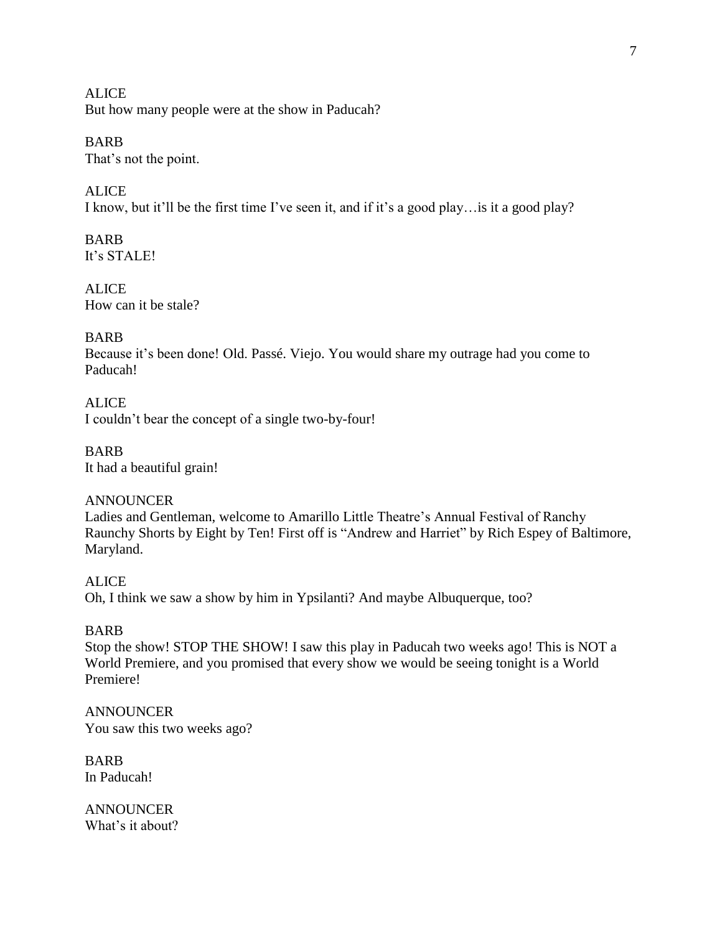**ALICE** But how many people were at the show in Paducah?

# BARB

That's not the point.

# **ALICE**

I know, but it'll be the first time I've seen it, and if it's a good play…is it a good play?

BARB It's STALE!

ALICE How can it be stale?

# BARB

Because it's been done! Old. Passé. Viejo. You would share my outrage had you come to Paducah!

ALICE I couldn't bear the concept of a single two-by-four!

BARB It had a beautiful grain!

ANNOUNCER Ladies and Gentleman, welcome to Amarillo Little Theatre's Annual Festival of Ranchy Raunchy Shorts by Eight by Ten! First off is "Andrew and Harriet" by Rich Espey of Baltimore, Maryland.

ALICE Oh, I think we saw a show by him in Ypsilanti? And maybe Albuquerque, too?

# BARB

Stop the show! STOP THE SHOW! I saw this play in Paducah two weeks ago! This is NOT a World Premiere, and you promised that every show we would be seeing tonight is a World Premiere!

ANNOUNCER You saw this two weeks ago?

BARB In Paducah!

ANNOUNCER What's it about?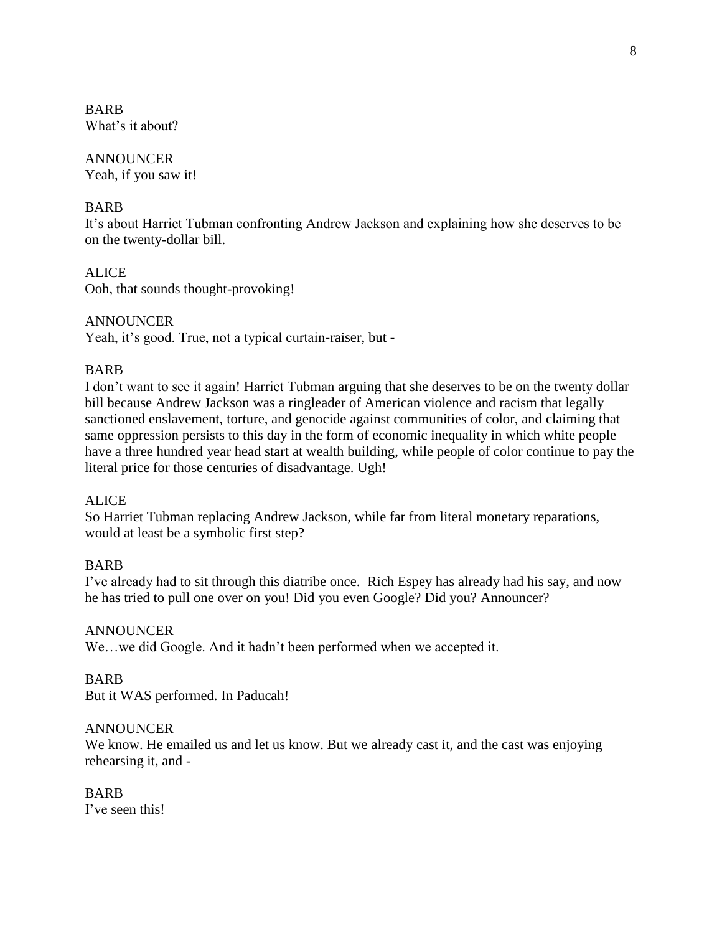BARB What's it about?

# ANNOUNCER

Yeah, if you saw it!

# BARB

It's about Harriet Tubman confronting Andrew Jackson and explaining how she deserves to be on the twenty-dollar bill.

# ALICE

Ooh, that sounds thought-provoking!

# ANNOUNCER

Yeah, it's good. True, not a typical curtain-raiser, but -

# BARB

I don't want to see it again! Harriet Tubman arguing that she deserves to be on the twenty dollar bill because Andrew Jackson was a ringleader of American violence and racism that legally sanctioned enslavement, torture, and genocide against communities of color, and claiming that same oppression persists to this day in the form of economic inequality in which white people have a three hundred year head start at wealth building, while people of color continue to pay the literal price for those centuries of disadvantage. Ugh!

## ALICE

So Harriet Tubman replacing Andrew Jackson, while far from literal monetary reparations, would at least be a symbolic first step?

## BARB

I've already had to sit through this diatribe once. Rich Espey has already had his say, and now he has tried to pull one over on you! Did you even Google? Did you? Announcer?

## ANNOUNCER

We…we did Google. And it hadn't been performed when we accepted it.

## BARB

But it WAS performed. In Paducah!

## ANNOUNCER

We know. He emailed us and let us know. But we already cast it, and the cast was enjoying rehearsing it, and -

BARB I've seen this!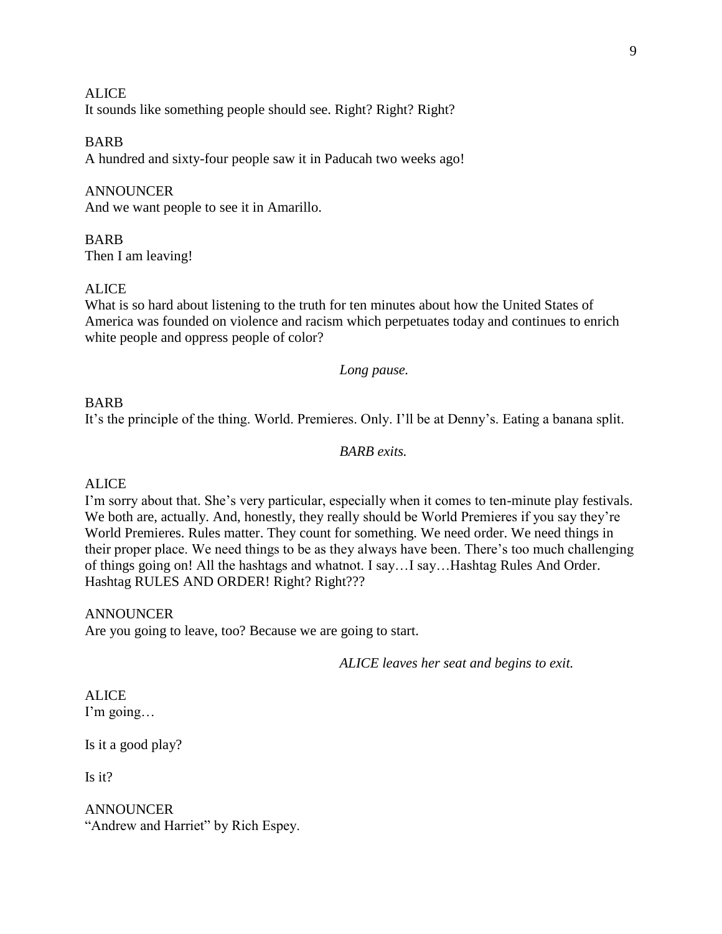**ALICE** It sounds like something people should see. Right? Right? Right?

BARB A hundred and sixty-four people saw it in Paducah two weeks ago!

**ANNOUNCER** And we want people to see it in Amarillo.

BARB Then I am leaving!

## ALICE

What is so hard about listening to the truth for ten minutes about how the United States of America was founded on violence and racism which perpetuates today and continues to enrich white people and oppress people of color?

### *Long pause.*

### BARB

It's the principle of the thing. World. Premieres. Only. I'll be at Denny's. Eating a banana split.

### *BARB exits.*

### ALICE

I'm sorry about that. She's very particular, especially when it comes to ten-minute play festivals. We both are, actually. And, honestly, they really should be World Premieres if you say they're World Premieres. Rules matter. They count for something. We need order. We need things in their proper place. We need things to be as they always have been. There's too much challenging of things going on! All the hashtags and whatnot. I say…I say…Hashtag Rules And Order. Hashtag RULES AND ORDER! Right? Right???

### ANNOUNCER

Are you going to leave, too? Because we are going to start.

*ALICE leaves her seat and begins to exit.*

#### ALICE I'm going…

Is it a good play?

Is it?

ANNOUNCER "Andrew and Harriet" by Rich Espey.